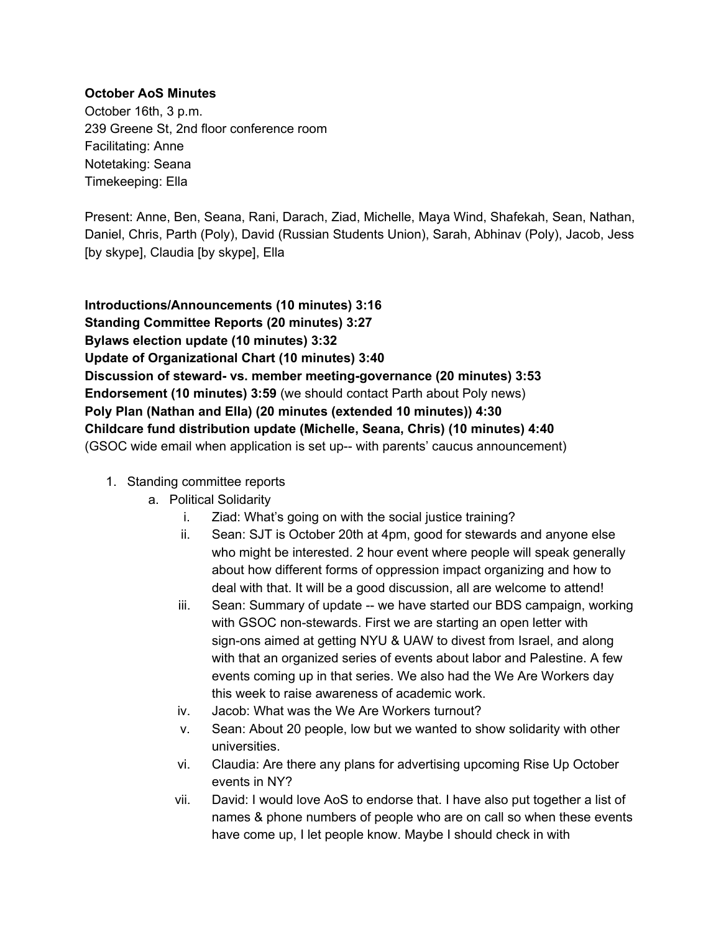#### **October AoS Minutes**

October 16th, 3 p.m. 239 Greene St, 2nd floor conference room Facilitating: Anne Notetaking: Seana Timekeeping: Ella

Present: Anne, Ben, Seana, Rani, Darach, Ziad, Michelle, Maya Wind, Shafekah, Sean, Nathan, Daniel, Chris, Parth (Poly), David (Russian Students Union), Sarah, Abhinav (Poly), Jacob, Jess [by skype], Claudia [by skype], Ella

**Introductions/Announcements (10 minutes) 3:16 Standing Committee Reports (20 minutes) 3:27 Bylaws election update (10 minutes) 3:32 Update of Organizational Chart (10 minutes) 3:40 Discussion of steward vs. member meetinggovernance (20 minutes) 3:53 Endorsement (10 minutes) 3:59** (we should contact Parth about Poly news) **Poly Plan (Nathan and Ella) (20 minutes (extended 10 minutes)) 4:30 Childcare fund distribution update (Michelle, Seana, Chris) (10 minutes) 4:40** (GSOC wide email when application is set up-- with parents' caucus announcement)

- 1. Standing committee reports
	- a. Political Solidarity
		- i. Ziad: What's going on with the social justice training?
		- ii. Sean: SJT is October 20th at 4pm, good for stewards and anyone else who might be interested. 2 hour event where people will speak generally about how different forms of oppression impact organizing and how to deal with that. It will be a good discussion, all are welcome to attend!
		- iii. Sean: Summary of update -- we have started our BDS campaign, working with GSOC non-stewards. First we are starting an open letter with sign-ons aimed at getting NYU & UAW to divest from Israel, and along with that an organized series of events about labor and Palestine. A few events coming up in that series. We also had the We Are Workers day this week to raise awareness of academic work.
		- iv. Jacob: What was the We Are Workers turnout?
		- v. Sean: About 20 people, low but we wanted to show solidarity with other universities.
		- vi. Claudia: Are there any plans for advertising upcoming Rise Up October events in NY?
		- vii. David: I would love AoS to endorse that. I have also put together a list of names & phone numbers of people who are on call so when these events have come up, I let people know. Maybe I should check in with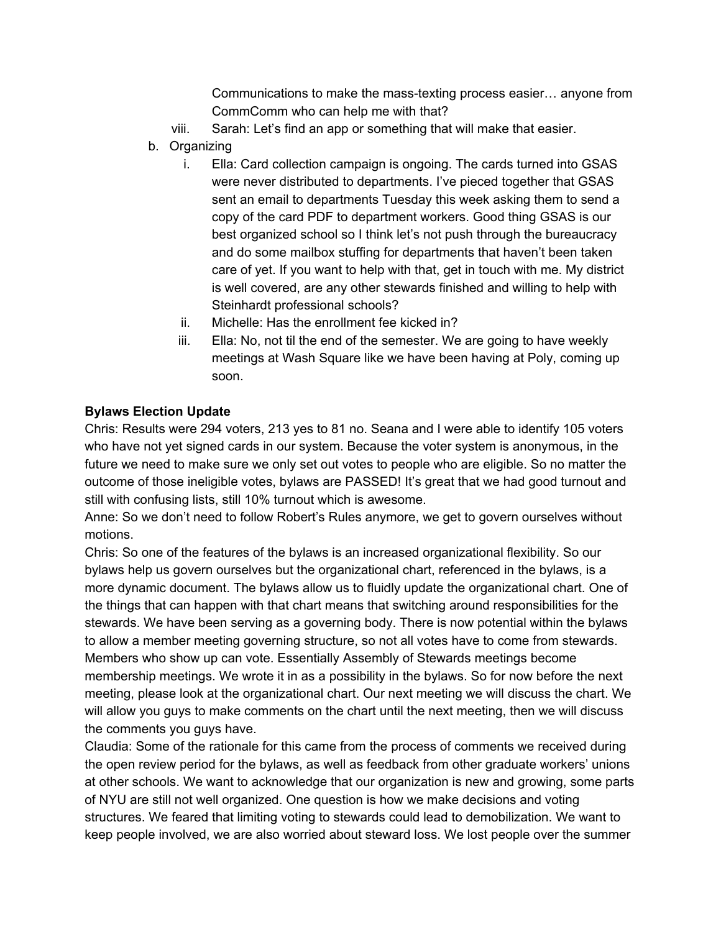Communications to make the mass-texting process easier... anyone from CommComm who can help me with that?

- viii. Sarah: Let's find an app or something that will make that easier.
- b. Organizing
	- i. Ella: Card collection campaign is ongoing. The cards turned into GSAS were never distributed to departments. I've pieced together that GSAS sent an email to departments Tuesday this week asking them to send a copy of the card PDF to department workers. Good thing GSAS is our best organized school so I think let's not push through the bureaucracy and do some mailbox stuffing for departments that haven't been taken care of yet. If you want to help with that, get in touch with me. My district is well covered, are any other stewards finished and willing to help with Steinhardt professional schools?
	- ii. Michelle: Has the enrollment fee kicked in?
	- iii. Ella: No, not til the end of the semester. We are going to have weekly meetings at Wash Square like we have been having at Poly, coming up soon.

## **Bylaws Election Update**

Chris: Results were 294 voters, 213 yes to 81 no. Seana and I were able to identify 105 voters who have not yet signed cards in our system. Because the voter system is anonymous, in the future we need to make sure we only set out votes to people who are eligible. So no matter the outcome of those ineligible votes, bylaws are PASSED! It's great that we had good turnout and still with confusing lists, still 10% turnout which is awesome.

Anne: So we don't need to follow Robert's Rules anymore, we get to govern ourselves without motions.

Chris: So one of the features of the bylaws is an increased organizational flexibility. So our bylaws help us govern ourselves but the organizational chart, referenced in the bylaws, is a more dynamic document. The bylaws allow us to fluidly update the organizational chart. One of the things that can happen with that chart means that switching around responsibilities for the stewards. We have been serving as a governing body. There is now potential within the bylaws to allow a member meeting governing structure, so not all votes have to come from stewards. Members who show up can vote. Essentially Assembly of Stewards meetings become membership meetings. We wrote it in as a possibility in the bylaws. So for now before the next meeting, please look at the organizational chart. Our next meeting we will discuss the chart. We will allow you guys to make comments on the chart until the next meeting, then we will discuss the comments you guys have.

Claudia: Some of the rationale for this came from the process of comments we received during the open review period for the bylaws, as well as feedback from other graduate workers' unions at other schools. We want to acknowledge that our organization is new and growing, some parts of NYU are still not well organized. One question is how we make decisions and voting structures. We feared that limiting voting to stewards could lead to demobilization. We want to keep people involved, we are also worried about steward loss. We lost people over the summer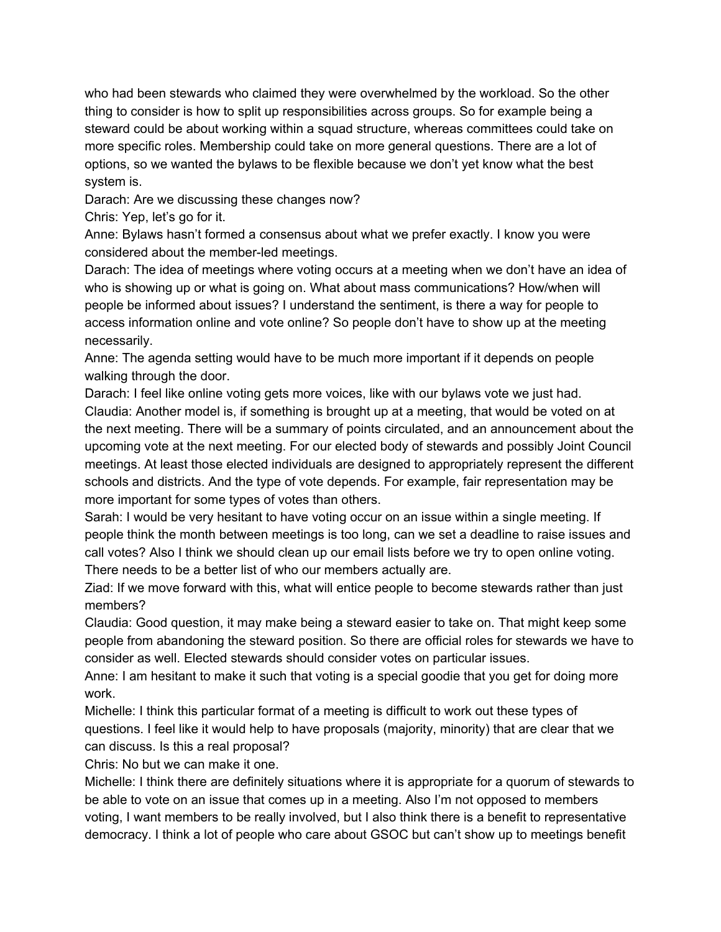who had been stewards who claimed they were overwhelmed by the workload. So the other thing to consider is how to split up responsibilities across groups. So for example being a steward could be about working within a squad structure, whereas committees could take on more specific roles. Membership could take on more general questions. There are a lot of options, so we wanted the bylaws to be flexible because we don't yet know what the best system is.

Darach: Are we discussing these changes now?

Chris: Yep, let's go for it.

Anne: Bylaws hasn't formed a consensus about what we prefer exactly. I know you were considered about the member-led meetings.

Darach: The idea of meetings where voting occurs at a meeting when we don't have an idea of who is showing up or what is going on. What about mass communications? How/when will people be informed about issues? I understand the sentiment, is there a way for people to access information online and vote online? So people don't have to show up at the meeting necessarily.

Anne: The agenda setting would have to be much more important if it depends on people walking through the door.

Darach: I feel like online voting gets more voices, like with our bylaws vote we just had. Claudia: Another model is, if something is brought up at a meeting, that would be voted on at the next meeting. There will be a summary of points circulated, and an announcement about the upcoming vote at the next meeting. For our elected body of stewards and possibly Joint Council meetings. At least those elected individuals are designed to appropriately represent the different schools and districts. And the type of vote depends. For example, fair representation may be more important for some types of votes than others.

Sarah: I would be very hesitant to have voting occur on an issue within a single meeting. If people think the month between meetings is too long, can we set a deadline to raise issues and call votes? Also I think we should clean up our email lists before we try to open online voting. There needs to be a better list of who our members actually are.

Ziad: If we move forward with this, what will entice people to become stewards rather than just members?

Claudia: Good question, it may make being a steward easier to take on. That might keep some people from abandoning the steward position. So there are official roles for stewards we have to consider as well. Elected stewards should consider votes on particular issues.

Anne: I am hesitant to make it such that voting is a special goodie that you get for doing more work.

Michelle: I think this particular format of a meeting is difficult to work out these types of questions. I feel like it would help to have proposals (majority, minority) that are clear that we can discuss. Is this a real proposal?

Chris: No but we can make it one.

Michelle: I think there are definitely situations where it is appropriate for a quorum of stewards to be able to vote on an issue that comes up in a meeting. Also I'm not opposed to members voting, I want members to be really involved, but I also think there is a benefit to representative democracy. I think a lot of people who care about GSOC but can't show up to meetings benefit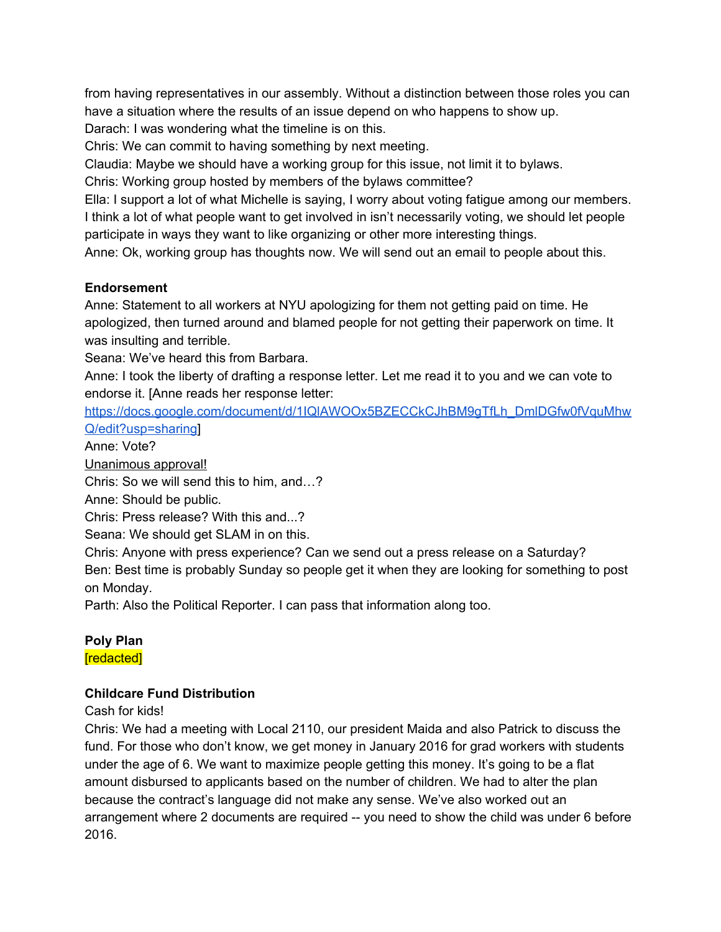from having representatives in our assembly. Without a distinction between those roles you can have a situation where the results of an issue depend on who happens to show up.

Darach: I was wondering what the timeline is on this.

Chris: We can commit to having something by next meeting.

Claudia: Maybe we should have a working group for this issue, not limit it to bylaws.

Chris: Working group hosted by members of the bylaws committee?

Ella: I support a lot of what Michelle is saying, I worry about voting fatigue among our members. I think a lot of what people want to get involved in isn't necessarily voting, we should let people participate in ways they want to like organizing or other more interesting things.

Anne: Ok, working group has thoughts now. We will send out an email to people about this.

### **Endorsement**

Anne: Statement to all workers at NYU apologizing for them not getting paid on time. He apologized, then turned around and blamed people for not getting their paperwork on time. It was insulting and terrible.

Seana: We've heard this from Barbara.

Anne: I took the liberty of drafting a response letter. Let me read it to you and we can vote to endorse it. [Anne reads her response letter:

[https://docs.google.com/document/d/1IQlAWOOx5BZECCkCJhBM9gTfLh\\_DmlDGfw0fVquMhw](https://docs.google.com/document/d/1IQlAWOOx5BZECCkCJhBM9gTfLh_DmlDGfw0fVquMhwQ/edit?usp=sharing) [Q/edit?usp=sharing\]](https://docs.google.com/document/d/1IQlAWOOx5BZECCkCJhBM9gTfLh_DmlDGfw0fVquMhwQ/edit?usp=sharing)

Anne: Vote?

Unanimous approval!

Chris: So we will send this to him, and…?

Anne: Should be public.

Chris: Press release? With this and...?

Seana: We should get SLAM in on this.

Chris: Anyone with press experience? Can we send out a press release on a Saturday? Ben: Best time is probably Sunday so people get it when they are looking for something to post on Monday.

Parth: Also the Political Reporter. I can pass that information along too.

### **Poly Plan** [redacted]

# **Childcare Fund Distribution**

Cash for kids!

Chris: We had a meeting with Local 2110, our president Maida and also Patrick to discuss the fund. For those who don't know, we get money in January 2016 for grad workers with students under the age of 6. We want to maximize people getting this money. It's going to be a flat amount disbursed to applicants based on the number of children. We had to alter the plan because the contract's language did not make any sense. We've also worked out an arrangement where 2 documents are required -- you need to show the child was under 6 before 2016.